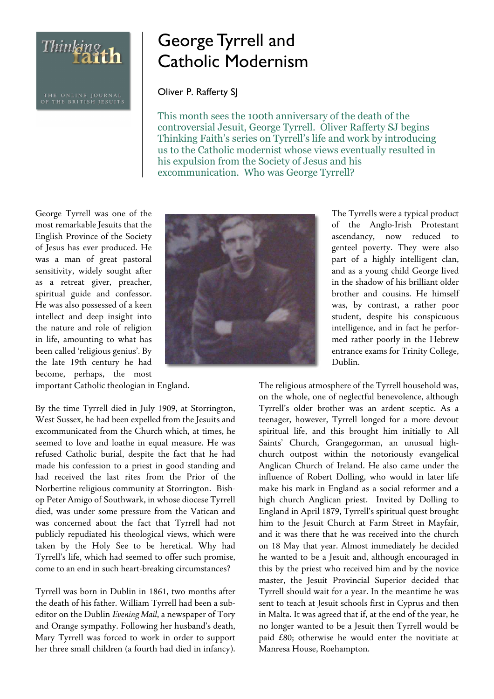Thinking th

## George Tyrrell and Catholic Modernism

Oliver P. Rafferty SJ

This month sees the 100th anniversary of the death of the controversial Jesuit, George Tyrrell. Oliver Rafferty SJ begins Thinking Faith's series on Tyrrell's life and work by introducing us to the Catholic modernist whose views eventually resulted in his expulsion from the Society of Jesus and his excommunication. Who was George Tyrrell?

George Tyrrell was one of the most remarkable Jesuits that the English Province of the Society of Jesus has ever produced. He was a man of great pastoral sensitivity, widely sought after as a retreat giver, preacher, spiritual guide and confessor. He was also possessed of a keen intellect and deep insight into the nature and role of religion in life, amounting to what has been called 'religious genius'. By the late 19th century he had become, perhaps, the most

important Catholic theologian in England.

By the time Tyrrell died in July 1909, at Storrington, West Sussex, he had been expelled from the Jesuits and excommunicated from the Church which, at times, he seemed to love and loathe in equal measure. He was refused Catholic burial, despite the fact that he had made his confession to a priest in good standing and had received the last rites from the Prior of the Norbertine religious community at Storrington. Bishop Peter Amigo of Southwark, in whose diocese Tyrrell died, was under some pressure from the Vatican and was concerned about the fact that Tyrrell had not publicly repudiated his theological views, which were taken by the Holy See to be heretical. Why had Tyrrell's life, which had seemed to offer such promise, come to an end in such heart-breaking circumstances?

Tyrrell was born in Dublin in 1861, two months after the death of his father. William Tyrrell had been a subeditor on the Dublin *Evening Mail*, a newspaper of Tory and Orange sympathy. Following her husband's death, Mary Tyrrell was forced to work in order to support her three small children (a fourth had died in infancy).



The Tyrrells were a typical product of the Anglo-Irish Protestant ascendancy, now reduced to genteel poverty. They were also part of a highly intelligent clan, and as a young child George lived in the shadow of his brilliant older brother and cousins. He himself was, by contrast, a rather poor student, despite his conspicuous intelligence, and in fact he performed rather poorly in the Hebrew entrance exams for Trinity College, Dublin.

The religious atmosphere of the Tyrrell household was, on the whole, one of neglectful benevolence, although Tyrrell's older brother was an ardent sceptic. As a teenager, however, Tyrrell longed for a more devout spiritual life, and this brought him initially to All Saints' Church, Grangegorman, an unusual highchurch outpost within the notoriously evangelical Anglican Church of Ireland. He also came under the influence of Robert Dolling, who would in later life make his mark in England as a social reformer and a high church Anglican priest. Invited by Dolling to England in April 1879, Tyrrell's spiritual quest brought him to the Jesuit Church at Farm Street in Mayfair, and it was there that he was received into the church on 18 May that year. Almost immediately he decided he wanted to be a Jesuit and, although encouraged in this by the priest who received him and by the novice master, the Jesuit Provincial Superior decided that Tyrrell should wait for a year. In the meantime he was sent to teach at Jesuit schools first in Cyprus and then in Malta. It was agreed that if, at the end of the year, he no longer wanted to be a Jesuit then Tyrrell would be paid £80; otherwise he would enter the novitiate at Manresa House, Roehampton.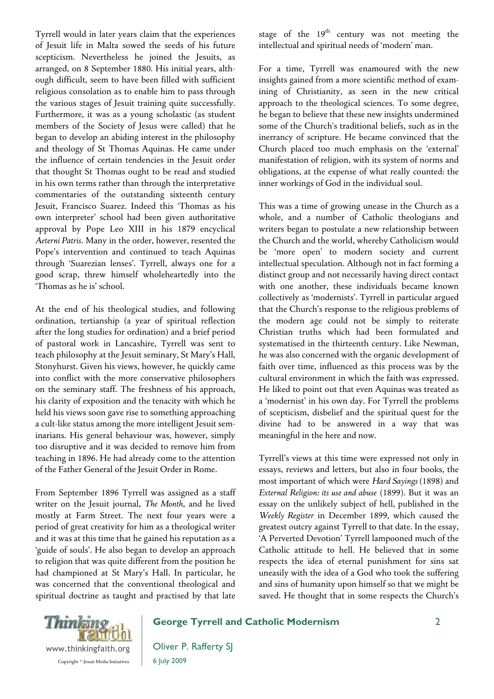Tyrrell would in later years claim that the experiences of Jesuit life in Malta sowed the seeds of his future scepticism. Nevertheless he joined the Jesuits, as arranged, on 8 September 1880. His initial years, although difficult, seem to have been filled with sufficient religious consolation as to enable him to pass through the various stages of Jesuit training quite successfully. Furthermore, it was as a young scholastic (as student members of the Society of Jesus were called) that he began to develop an abiding interest in the philosophy and theology of St Thomas Aquinas. He came under the influence of certain tendencies in the Jesuit order that thought St Thomas ought to be read and studied in his own terms rather than through the interpretative commentaries of the outstanding sixteenth century Jesuit, Francisco Suarez. Indeed this 'Thomas as his own interpreter' school had been given authoritative approval by Pope Leo XIII in his 1879 encyclical *Aeterni Patris*. Many in the order, however, resented the Pope's intervention and continued to teach Aquinas through 'Suarezian lenses'. Tyrrell, always one for a good scrap, threw himself wholeheartedly into the 'Thomas as he is' school.

At the end of his theological studies, and following ordination, tertianship (a year of spiritual reflection after the long studies for ordination) and a brief period of pastoral work in Lancashire, Tyrrell was sent to teach philosophy at the Jesuit seminary, St Mary's Hall, Stonyhurst. Given his views, however, he quickly came into conflict with the more conservative philosophers on the seminary staff. The freshness of his approach, his clarity of exposition and the tenacity with which he held his views soon gave rise to something approaching a cult-like status among the more intelligent Jesuit seminarians. His general behaviour was, however, simply too disruptive and it was decided to remove him from teaching in 1896. He had already come to the attention of the Father General of the Jesuit Order in Rome.

From September 1896 Tyrrell was assigned as a staff writer on the Jesuit journal, *The Month*, and he lived mostly at Farm Street. The next four years were a period of great creativity for him as a theological writer and it was at this time that he gained his reputation as a 'guide of souls'. He also began to develop an approach to religion that was quite different from the position he had championed at St Mary's Hall. In particular, he was concerned that the conventional theological and spiritual doctrine as taught and practised by that late

stage of the  $19<sup>th</sup>$  century was not meeting the intellectual and spiritual needs of 'modern' man.

For a time, Tyrrell was enamoured with the new insights gained from a more scientific method of examining of Christianity, as seen in the new critical approach to the theological sciences. To some degree, he began to believe that these new insights undermined some of the Church's traditional beliefs, such as in the inerrancy of scripture. He became convinced that the Church placed too much emphasis on the 'external' manifestation of religion, with its system of norms and obligations, at the expense of what really counted: the inner workings of God in the individual soul.

This was a time of growing unease in the Church as a whole, and a number of Catholic theologians and writers began to postulate a new relationship between the Church and the world, whereby Catholicism would be 'more open' to modern society and current intellectual speculation. Although not in fact forming a distinct group and not necessarily having direct contact with one another, these individuals became known collectively as 'modernists'. Tyrrell in particular argued that the Church's response to the religious problems of the modern age could not be simply to reiterate Christian truths which had been formulated and systematised in the thirteenth century. Like Newman, he was also concerned with the organic development of faith over time, influenced as this process was by the cultural environment in which the faith was expressed. He liked to point out that even Aquinas was treated as a 'modernist' in his own day. For Tyrrell the problems of scepticism, disbelief and the spiritual quest for the divine had to be answered in a way that was meaningful in the here and now.

Tyrrell's views at this time were expressed not only in essays, reviews and letters, but also in four books, the most important of which were *Hard Sayings* (1898) and *External Religion: its use and abuse* (1899). But it was an essay on the unlikely subject of hell, published in the *Weekly Register* in December 1899, which caused the greatest outcry against Tyrrell to that date. In the essay, 'A Perverted Devotion' Tyrrell lampooned much of the Catholic attitude to hell. He believed that in some respects the idea of eternal punishment for sins sat uneasily with the idea of a God who took the suffering and sins of humanity upon himself so that we might be saved. He thought that in some respects the Church's



## George Tyrrell and Catholic Modernism

Oliver P. Rafferty SJ 6 July 2009